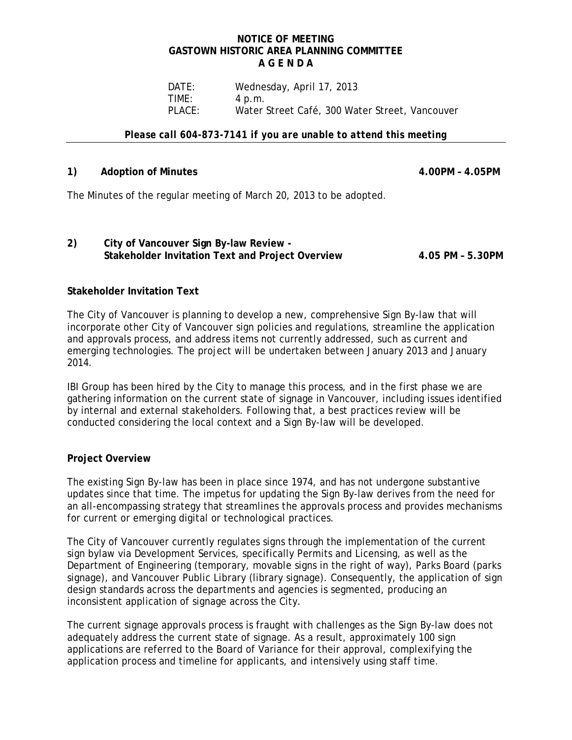### **NOTICE OF MEETING GASTOWN HISTORIC AREA PLANNING COMMITTEE A G E N D A**

DATE: Wednesday, April 17, 2013 TIME: 4 p.m. PLACE: Water Street Café, 300 Water Street, Vancouver

*Please call 604-873-7141 if you are unable to attend this meeting* 

### **1) Adoption of Minutes 4.00PM – 4.05PM**

The Minutes of the regular meeting of March 20, 2013 to be adopted.

# **2) City of Vancouver Sign By-law Review - Stakeholder Invitation Text and Project Overview 4.05 PM – 5.30PM**

# **Stakeholder Invitation Text**

The City of Vancouver is planning to develop a new, comprehensive Sign By-law that will incorporate other City of Vancouver sign policies and regulations, streamline the application and approvals process, and address items not currently addressed, such as current and emerging technologies. The project will be undertaken between January 2013 and January 2014.

IBI Group has been hired by the City to manage this process, and in the first phase we are gathering information on the current state of signage in Vancouver, including issues identified by internal and external stakeholders. Following that, a best practices review will be conducted considering the local context and a Sign By-law will be developed.

# **Project Overview**

The existing Sign By-law has been in place since 1974, and has not undergone substantive updates since that time. The impetus for updating the Sign By-law derives from the need for an all-encompassing strategy that streamlines the approvals process and provides mechanisms for current or emerging digital or technological practices.

The City of Vancouver currently regulates signs through the implementation of the current sign bylaw via Development Services, specifically Permits and Licensing, as well as the Department of Engineering (temporary, movable signs in the right of way), Parks Board (parks signage), and Vancouver Public Library (library signage). Consequently, the application of sign design standards across the departments and agencies is segmented, producing an inconsistent application of signage across the City.

The current signage approvals process is fraught with challenges as the Sign By-law does not adequately address the current state of signage. As a result, approximately 100 sign applications are referred to the Board of Variance for their approval, complexifying the application process and timeline for applicants, and intensively using staff time.